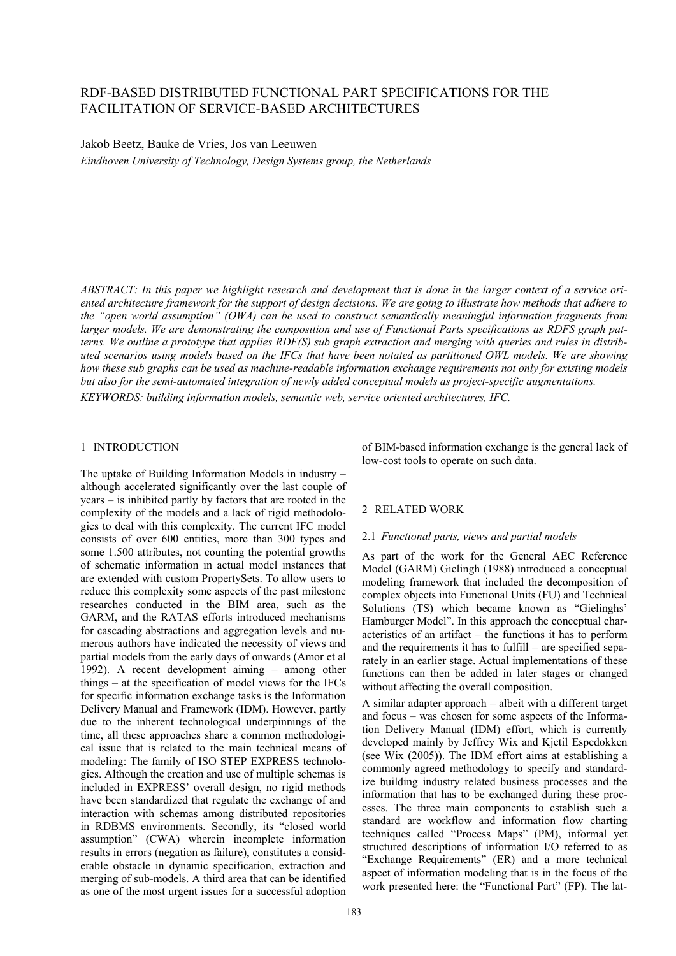# RDF-BASED DISTRIBUTED FUNCTIONAL PART SPECIFICATIONS FOR THE FACILITATION OF SERVICE-BASED ARCHITECTURES

Jakob Beetz, Bauke de Vries, Jos van Leeuwen

*Eindhoven University of Technology, Design Systems group, the Netherlands* 

*ABSTRACT: In this paper we highlight research and development that is done in the larger context of a service oriented architecture framework for the support of design decisions. We are going to illustrate how methods that adhere to the "open world assumption" (OWA) can be used to construct semantically meaningful information fragments from larger models. We are demonstrating the composition and use of Functional Parts specifications as RDFS graph patterns. We outline a prototype that applies RDF(S) sub graph extraction and merging with queries and rules in distributed scenarios using models based on the IFCs that have been notated as partitioned OWL models. We are showing how these sub graphs can be used as machine-readable information exchange requirements not only for existing models but also for the semi-automated integration of newly added conceptual models as project-specific augmentations.* 

*KEYWORDS: building information models, semantic web, service oriented architectures, IFC.* 

## 1 INTRODUCTION

The uptake of Building Information Models in industry – although accelerated significantly over the last couple of years – is inhibited partly by factors that are rooted in the complexity of the models and a lack of rigid methodologies to deal with this complexity. The current IFC model consists of over 600 entities, more than 300 types and some 1.500 attributes, not counting the potential growths of schematic information in actual model instances that are extended with custom PropertySets. To allow users to reduce this complexity some aspects of the past milestone researches conducted in the BIM area, such as the GARM, and the RATAS efforts introduced mechanisms for cascading abstractions and aggregation levels and numerous authors have indicated the necessity of views and partial models from the early days of onwards (Amor et al 1992). A recent development aiming – among other things – at the specification of model views for the IFCs for specific information exchange tasks is the Information Delivery Manual and Framework (IDM). However, partly due to the inherent technological underpinnings of the time, all these approaches share a common methodological issue that is related to the main technical means of modeling: The family of ISO STEP EXPRESS technologies. Although the creation and use of multiple schemas is included in EXPRESS' overall design, no rigid methods have been standardized that regulate the exchange of and interaction with schemas among distributed repositories in RDBMS environments. Secondly, its "closed world assumption" (CWA) wherein incomplete information results in errors (negation as failure), constitutes a considerable obstacle in dynamic specification, extraction and merging of sub-models. A third area that can be identified as one of the most urgent issues for a successful adoption

of BIM-based information exchange is the general lack of low-cost tools to operate on such data.

## 2 RELATED WORK

## 2.1 *Functional parts, views and partial models*

As part of the work for the General AEC Reference Model (GARM) Gielingh (1988) introduced a conceptual modeling framework that included the decomposition of complex objects into Functional Units (FU) and Technical Solutions (TS) which became known as "Gielinghs' Hamburger Model". In this approach the conceptual characteristics of an artifact – the functions it has to perform and the requirements it has to fulfill – are specified separately in an earlier stage. Actual implementations of these functions can then be added in later stages or changed without affecting the overall composition.

A similar adapter approach – albeit with a different target and focus – was chosen for some aspects of the Information Delivery Manual (IDM) effort, which is currently developed mainly by Jeffrey Wix and Kjetil Espedokken (see Wix (2005)). The IDM effort aims at establishing a commonly agreed methodology to specify and standardize building industry related business processes and the information that has to be exchanged during these processes. The three main components to establish such a standard are workflow and information flow charting techniques called "Process Maps" (PM), informal yet structured descriptions of information I/O referred to as "Exchange Requirements" (ER) and a more technical aspect of information modeling that is in the focus of the work presented here: the "Functional Part" (FP). The lat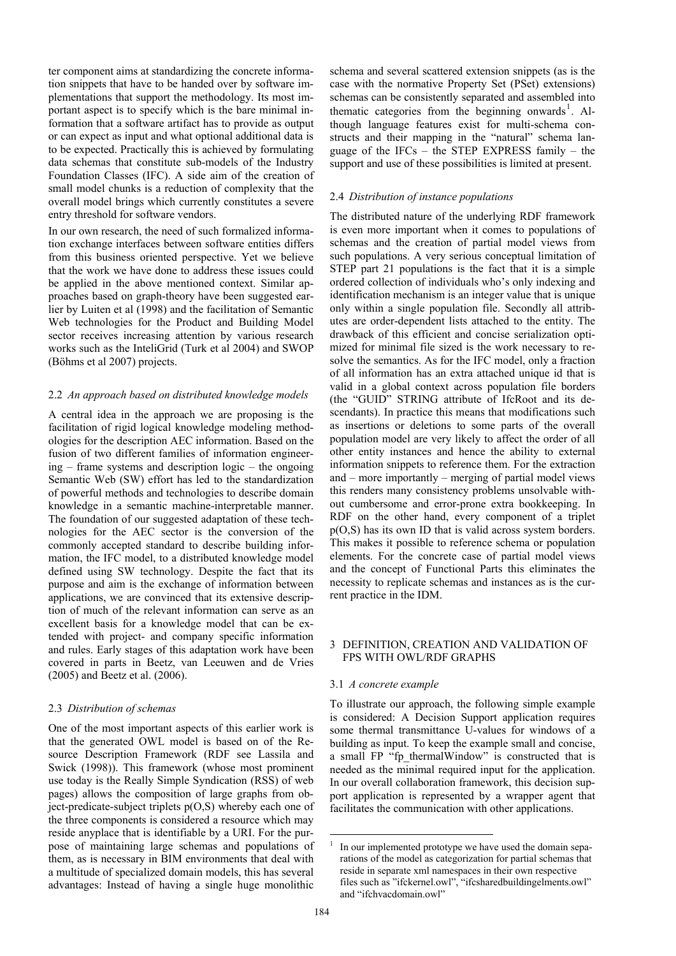ter component aims at standardizing the concrete information snippets that have to be handed over by software implementations that support the methodology. Its most important aspect is to specify which is the bare minimal information that a software artifact has to provide as output or can expect as input and what optional additional data is to be expected. Practically this is achieved by formulating data schemas that constitute sub-models of the Industry Foundation Classes (IFC). A side aim of the creation of small model chunks is a reduction of complexity that the overall model brings which currently constitutes a severe entry threshold for software vendors.

In our own research, the need of such formalized information exchange interfaces between software entities differs from this business oriented perspective. Yet we believe that the work we have done to address these issues could be applied in the above mentioned context. Similar approaches based on graph-theory have been suggested earlier by Luiten et al (1998) and the facilitation of Semantic Web technologies for the Product and Building Model sector receives increasing attention by various research works such as the InteliGrid (Turk et al 2004) and SWOP (Böhms et al 2007) projects.

### 2.2 *An approach based on distributed knowledge models*

A central idea in the approach we are proposing is the facilitation of rigid logical knowledge modeling methodologies for the description AEC information. Based on the fusion of two different families of information engineering – frame systems and description logic – the ongoing Semantic Web (SW) effort has led to the standardization of powerful methods and technologies to describe domain knowledge in a semantic machine-interpretable manner. The foundation of our suggested adaptation of these technologies for the AEC sector is the conversion of the commonly accepted standard to describe building information, the IFC model, to a distributed knowledge model defined using SW technology. Despite the fact that its purpose and aim is the exchange of information between applications, we are convinced that its extensive description of much of the relevant information can serve as an excellent basis for a knowledge model that can be extended with project- and company specific information and rules. Early stages of this adaptation work have been covered in parts in Beetz, van Leeuwen and de Vries (2005) and Beetz et al. (2006).

### 2.3 *Distribution of schemas*

One of the most important aspects of this earlier work is that the generated OWL model is based on of the Resource Description Framework (RDF see Lassila and Swick (1998)). This framework (whose most prominent use today is the Really Simple Syndication (RSS) of web pages) allows the composition of large graphs from object-predicate-subject triplets  $p(O,S)$  whereby each one of the three components is considered a resource which may reside anyplace that is identifiable by a URI. For the purpose of maintaining large schemas and populations of them, as is necessary in BIM environments that deal with a multitude of specialized domain models, this has several advantages: Instead of having a single huge monolithic schema and several scattered extension snippets (as is the case with the normative Property Set (PSet) extensions) schemas can be consistently separated and assembled into thematic categories from the beginning onwards<sup>1</sup>. Although language features exist for multi-schema constructs and their mapping in the "natural" schema language of the IFCs – the STEP EXPRESS family – the support and use of these possibilities is limited at present.

### 2.4 *Distribution of instance populations*

The distributed nature of the underlying RDF framework is even more important when it comes to populations of schemas and the creation of partial model views from such populations. A very serious conceptual limitation of STEP part 21 populations is the fact that it is a simple ordered collection of individuals who's only indexing and identification mechanism is an integer value that is unique only within a single population file. Secondly all attributes are order-dependent lists attached to the entity. The drawback of this efficient and concise serialization optimized for minimal file sized is the work necessary to resolve the semantics. As for the IFC model, only a fraction of all information has an extra attached unique id that is valid in a global context across population file borders (the "GUID" STRING attribute of IfcRoot and its descendants). In practice this means that modifications such as insertions or deletions to some parts of the overall population model are very likely to affect the order of all other entity instances and hence the ability to external information snippets to reference them. For the extraction and – more importantly – merging of partial model views this renders many consistency problems unsolvable without cumbersome and error-prone extra bookkeeping. In RDF on the other hand, every component of a triplet p(O,S) has its own ID that is valid across system borders. This makes it possible to reference schema or population elements. For the concrete case of partial model views and the concept of Functional Parts this eliminates the necessity to replicate schemas and instances as is the current practice in the IDM.

### 3 DEFINITION, CREATION AND VALIDATION OF FPS WITH OWL/RDF GRAPHS

### 3.1 *A concrete example*

To illustrate our approach, the following simple example is considered: A Decision Support application requires some thermal transmittance U-values for windows of a building as input. To keep the example small and concise, a small FP "fp\_thermalWindow" is constructed that is needed as the minimal required input for the application. In our overall collaboration framework, this decision support application is represented by a wrapper agent that facilitates the communication with other applications.

<u>.</u>

<sup>1</sup> In our implemented prototype we have used the domain separations of the model as categorization for partial schemas that reside in separate xml namespaces in their own respective files such as "ifckernel.owl", "ifcsharedbuildingelments.owl" and "ifchvacdomain.owl"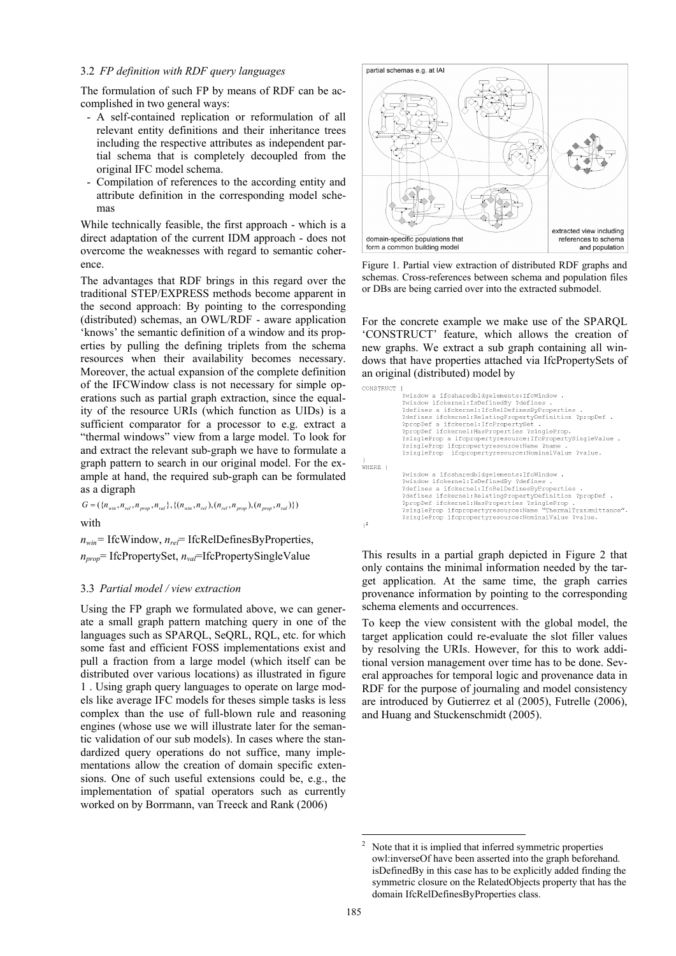### 3.2 *FP definition with RDF query languages*

The formulation of such FP by means of RDF can be accomplished in two general ways:

- A self-contained replication or reformulation of all relevant entity definitions and their inheritance trees including the respective attributes as independent partial schema that is completely decoupled from the original IFC model schema.
- Compilation of references to the according entity and attribute definition in the corresponding model schemas

While technically feasible, the first approach - which is a direct adaptation of the current IDM approach - does not overcome the weaknesses with regard to semantic coherence. Figure 1. Partial view extraction of distributed RDF graphs and

traditional STEP/EXPRESS methods become apparent in the second approach: By pointing to the corresponding (distributed) schemas, an OWL/RDF - aware application 'knows' the semantic definition of a window and its properties by pulling the defining triplets from the schema resources when their availability becomes necessary. Moreover, the actual expansion of the complete definition of the IFCWindow class is not necessary for simple operations such as partial graph extraction, since the equality of the resource URIs (which function as UIDs) is a sufficient comparator for a processor to e.g. extract a "thermal windows" view from a large model. To look for and extract the relevant sub-graph we have to formulate a graph pattern to search in our original model. For the example at hand, the required sub-graph can be formulated as a digraph

 $G = (\{n_{win}, n_{rel}, n_{prop}, n_{val}\}, \{(n_{win}, n_{rel}), (n_{rel}, n_{prop}), (n_{prop}, n_{val})\})$ 

with

*nwin=* IfcWindow, *nrel*= IfcRelDefinesByProperties,

*nprop*= IfcPropertySet, *nval*=IfcPropertySingleValue

### 3.3 *Partial model / view extraction*

Using the FP graph we formulated above, we can generate a small graph pattern matching query in one of the languages such as SPARQL, SeQRL, RQL, etc. for which some fast and efficient FOSS implementations exist and pull a fraction from a large model (which itself can be distributed over various locations) as illustrated in figure 1 . Using graph query languages to operate on large models like average IFC models for theses simple tasks is less complex than the use of full-blown rule and reasoning engines (whose use we will illustrate later for the semantic validation of our sub models). In cases where the standardized query operations do not suffice, many implementations allow the creation of domain specific extensions. One of such useful extensions could be, e.g., the implementation of spatial operators such as currently worked on by Borrmann, van Treeck and Rank (2006)



schemas. Cross-references between schema and population files The advantages that RDF brings in this regard over the schemas. Cross-references between schema and population traditional STED/EXPIDESS mothode become apparent in or DBs are being carried over into the extracted submodel.

For the concrete example we make use of the SPARQL 'CONSTRUCT' feature, which allows the creation of new graphs. We extract a sub graph containing all windows that have properties attached via IfcPropertySets of an original (distributed) model by

| CONSTRUCT |                                                              |
|-----------|--------------------------------------------------------------|
|           | ?window a ifcsharedbldgelements: IfcWindow .                 |
|           | ?window ifckernel: IsDefinedBv ?defines .                    |
|           | ?defines a ifckernel: IfcRelDefinesByProperties .            |
|           | ?defines ifckernel: Relating Property Definition ?propDef .  |
|           | ?propDef a ifckernel: IfcPropertySet .                       |
|           |                                                              |
|           | ?propDef ifckernel: HasProperties ?singleProp.               |
|           | ?singleProp a ifcpropertyresource: IfcPropertySingleValue.   |
|           | ?singleProp ifcpropertyresource:Name ?name .                 |
|           | ?singleProp ifcpropertyresource:NominalValue ?value.         |
|           |                                                              |
| WHERE {   |                                                              |
|           | ?window a ifcsharedbldgelements:IfcWindow.                   |
|           | ?window ifckernel: IsDefinedBy ?defines .                    |
|           | ?defines a ifckernel: IfcRelDefinesByProperties .            |
|           | ?defines ifckernel: Relating Property Definition ?propDef .  |
|           | ?propDef ifckernel:HasProperties ?singleProp.                |
|           |                                                              |
|           | ?singleProp ifcpropertyresource:Name "ThermalTransmittance". |
|           | ?singleProp ifcpropertyresource:NominalValue ?value.         |
|           |                                                              |

This results in a partial graph depicted in Figure 2 that only contains the minimal information needed by the target application. At the same time, the graph carries provenance information by pointing to the corresponding schema elements and occurrences.

To keep the view consistent with the global model, the target application could re-evaluate the slot filler values by resolving the URIs. However, for this to work additional version management over time has to be done. Several approaches for temporal logic and provenance data in RDF for the purpose of journaling and model consistency are introduced by Gutierrez et al (2005), Futrelle (2006), and Huang and Stuckenschmidt (2005).

<u>.</u>

<sup>2</sup> Note that it is implied that inferred symmetric properties owl:inverseOf have been asserted into the graph beforehand. isDefinedBy in this case has to be explicitly added finding the symmetric closure on the RelatedObjects property that has the domain IfcRelDefinesByProperties class.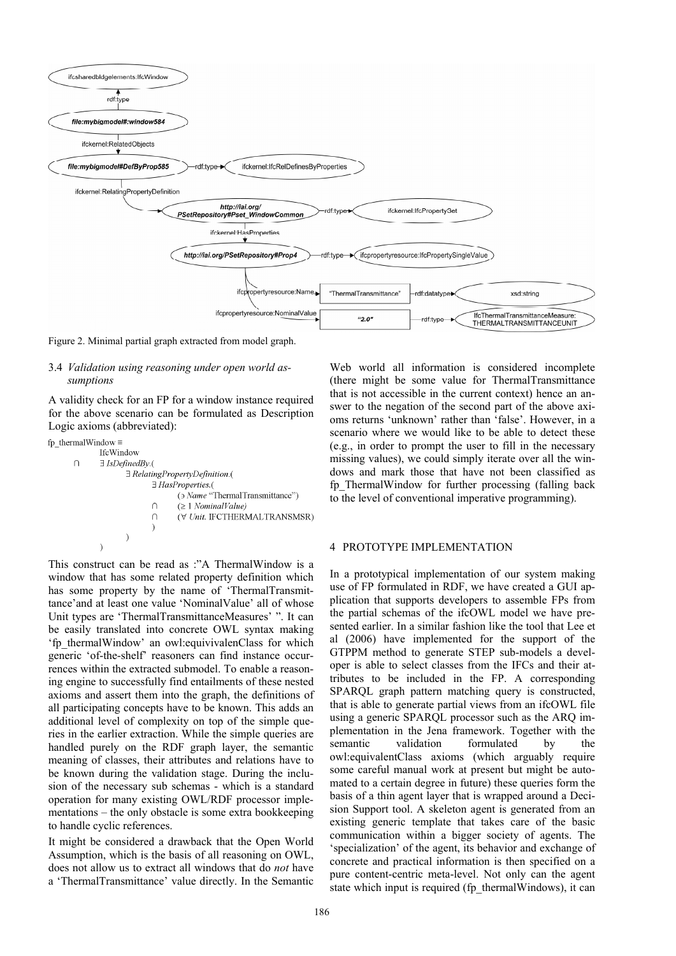

Figure 2. Minimal partial graph extracted from model graph.

#### 3.4 *Validation using reasoning under open world assumptions*

A validity check for an FP for a window instance required for the above scenario can be formulated as Description Logic axioms (abbreviated):

```
fp thermalWindow \equivIfcWindow
\cap\exists IsDefinedBy.(
                 E RelatingPropertyDefinition.(
                         \exists HasProperties.(
                                 \rightarrow Name "Thermal Transmittance")
                         \cap(\geq 1 NominalValue)
                                 (\forall Unit. IFCTHERMALTRANSMSR)
                         \bigcap\Delta
```
This construct can be read as :"A ThermalWindow is a window that has some related property definition which has some property by the name of 'ThermalTransmittance'and at least one value 'NominalValue' all of whose Unit types are 'ThermalTransmittanceMeasures' ". It can be easily translated into concrete OWL syntax making 'fp\_thermalWindow' an owl:equivivalenClass for which generic 'of-the-shelf' reasoners can find instance occurrences within the extracted submodel. To enable a reasoning engine to successfully find entailments of these nested axioms and assert them into the graph, the definitions of all participating concepts have to be known. This adds an additional level of complexity on top of the simple queries in the earlier extraction. While the simple queries are handled purely on the RDF graph layer, the semantic meaning of classes, their attributes and relations have to be known during the validation stage. During the inclusion of the necessary sub schemas - which is a standard operation for many existing OWL/RDF processor implementations – the only obstacle is some extra bookkeeping to handle cyclic references.

It might be considered a drawback that the Open World Assumption, which is the basis of all reasoning on OWL, does not allow us to extract all windows that do *not* have a 'ThermalTransmittance' value directly. In the Semantic

Web world all information is considered incomplete (there might be some value for ThermalTransmittance that is not accessible in the current context) hence an answer to the negation of the second part of the above axioms returns 'unknown' rather than 'false'. However, in a scenario where we would like to be able to detect these (e.g., in order to prompt the user to fill in the necessary missing values), we could simply iterate over all the windows and mark those that have not been classified as fp\_ThermalWindow for further processing (falling back to the level of conventional imperative programming).

#### 4 PROTOTYPE IMPLEMENTATION

In a prototypical implementation of our system making use of FP formulated in RDF, we have created a GUI application that supports developers to assemble FPs from the partial schemas of the ifcOWL model we have presented earlier. In a similar fashion like the tool that Lee et al (2006) have implemented for the support of the GTPPM method to generate STEP sub-models a developer is able to select classes from the IFCs and their attributes to be included in the FP. A corresponding SPARQL graph pattern matching query is constructed, that is able to generate partial views from an ifcOWL file using a generic SPARQL processor such as the ARQ implementation in the Jena framework. Together with the semantic validation formulated by the owl:equivalentClass axioms (which arguably require some careful manual work at present but might be automated to a certain degree in future) these queries form the basis of a thin agent layer that is wrapped around a Decision Support tool. A skeleton agent is generated from an existing generic template that takes care of the basic communication within a bigger society of agents. The 'specialization' of the agent, its behavior and exchange of concrete and practical information is then specified on a pure content-centric meta-level. Not only can the agent state which input is required (fp\_thermalWindows), it can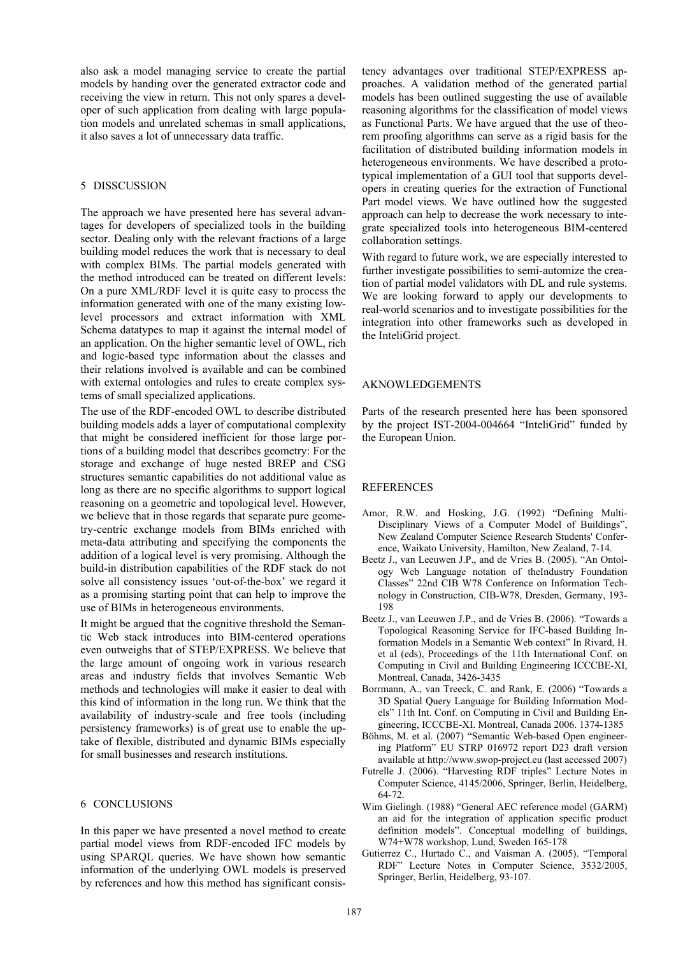also ask a model managing service to create the partial models by handing over the generated extractor code and receiving the view in return. This not only spares a developer of such application from dealing with large population models and unrelated schemas in small applications, it also saves a lot of unnecessary data traffic.

#### 5 DISSCUSSION

The approach we have presented here has several advantages for developers of specialized tools in the building sector. Dealing only with the relevant fractions of a large building model reduces the work that is necessary to deal with complex BIMs. The partial models generated with the method introduced can be treated on different levels: On a pure XML/RDF level it is quite easy to process the information generated with one of the many existing lowlevel processors and extract information with XML Schema datatypes to map it against the internal model of an application. On the higher semantic level of OWL, rich and logic-based type information about the classes and their relations involved is available and can be combined with external ontologies and rules to create complex systems of small specialized applications.

The use of the RDF-encoded OWL to describe distributed building models adds a layer of computational complexity that might be considered inefficient for those large portions of a building model that describes geometry: For the storage and exchange of huge nested BREP and CSG structures semantic capabilities do not additional value as long as there are no specific algorithms to support logical reasoning on a geometric and topological level. However, we believe that in those regards that separate pure geometry-centric exchange models from BIMs enriched with meta-data attributing and specifying the components the addition of a logical level is very promising. Although the build-in distribution capabilities of the RDF stack do not solve all consistency issues 'out-of-the-box' we regard it as a promising starting point that can help to improve the use of BIMs in heterogeneous environments.

It might be argued that the cognitive threshold the Semantic Web stack introduces into BIM-centered operations even outweighs that of STEP/EXPRESS. We believe that the large amount of ongoing work in various research areas and industry fields that involves Semantic Web methods and technologies will make it easier to deal with this kind of information in the long run. We think that the availability of industry-scale and free tools (including persistency frameworks) is of great use to enable the uptake of flexible, distributed and dynamic BIMs especially for small businesses and research institutions.

### 6 CONCLUSIONS

In this paper we have presented a novel method to create partial model views from RDF-encoded IFC models by using SPARQL queries. We have shown how semantic information of the underlying OWL models is preserved by references and how this method has significant consis-

tency advantages over traditional STEP/EXPRESS approaches. A validation method of the generated partial models has been outlined suggesting the use of available reasoning algorithms for the classification of model views as Functional Parts. We have argued that the use of theorem proofing algorithms can serve as a rigid basis for the facilitation of distributed building information models in heterogeneous environments. We have described a prototypical implementation of a GUI tool that supports developers in creating queries for the extraction of Functional Part model views. We have outlined how the suggested approach can help to decrease the work necessary to integrate specialized tools into heterogeneous BIM-centered collaboration settings.

With regard to future work, we are especially interested to further investigate possibilities to semi-automize the creation of partial model validators with DL and rule systems. We are looking forward to apply our developments to real-world scenarios and to investigate possibilities for the integration into other frameworks such as developed in the InteliGrid project.

### AKNOWLEDGEMENTS

Parts of the research presented here has been sponsored by the project IST-2004-004664 "InteliGrid" funded by the European Union.

### REFERENCES

- Amor, R.W. and Hosking, J.G. (1992) "Defining Multi-Disciplinary Views of a Computer Model of Buildings", New Zealand Computer Science Research Students' Conference, Waikato University, Hamilton, New Zealand, 7-14.
- Beetz J., van Leeuwen J.P., and de Vries B. (2005). "An Ontology Web Language notation of theIndustry Foundation Classes" 22nd CIB W78 Conference on Information Technology in Construction, CIB-W78, Dresden, Germany, 193- 198
- Beetz J., van Leeuwen J.P., and de Vries B. (2006). "Towards a Topological Reasoning Service for IFC-based Building Information Models in a Semantic Web context" In Rivard, H. et al (eds), Proceedings of the 11th International Conf. on Computing in Civil and Building Engineering ICCCBE-XI, Montreal, Canada, 3426-3435
- Borrmann, A., van Treeck, C. and Rank, E. (2006) "Towards a 3D Spatial Query Language for Building Information Models" 11th Int. Conf. on Computing in Civil and Building Engineering, ICCCBE-XI. Montreal, Canada 2006. 1374-1385
- Böhms, M. et al. (2007) "Semantic Web-based Open engineering Platform" EU STRP 016972 report D23 draft version available at http://www.swop-project.eu (last accessed 2007)
- Futrelle J. (2006). "Harvesting RDF triples" Lecture Notes in Computer Science, 4145/2006, Springer, Berlin, Heidelberg, 64-72.
- Wim Gielingh. (1988) "General AEC reference model (GARM) an aid for the integration of application specific product definition models". Conceptual modelling of buildings, W74+W78 workshop, Lund, Sweden 165-178
- Gutierrez C., Hurtado C., and Vaisman A. (2005). "Temporal RDF" Lecture Notes in Computer Science, 3532/2005, Springer, Berlin, Heidelberg, 93-107.